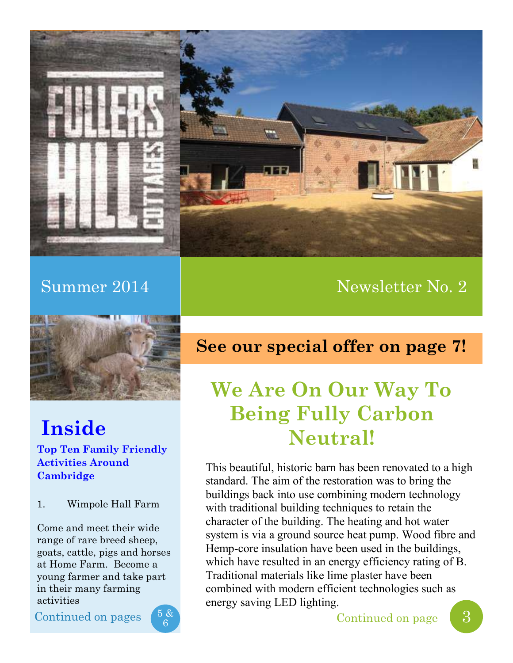

## Summer 2014 and the Summer 2014 and the Newsletter No. 2



## **Inside**

**Top Ten Family Friendly Activities Around Cambridge**

1. Wimpole Hall Farm

Come and meet their wide range of rare breed sheep, goats, cattle, pigs and horses at Home Farm. Become a young farmer and take part in their many farming activities

Continued on pages



## **See our special offer on page 7!**

## **We Are On Our Way To Being Fully Carbon Neutral!**

This beautiful, historic barn has been renovated to a high standard. The aim of the restoration was to bring the buildings back into use combining modern technology with traditional building techniques to retain the character of the building. The heating and hot water system is via a ground source heat pump. Wood fibre and Hemp-core insulation have been used in the buildings, which have resulted in an energy efficiency rating of B. Traditional materials like lime plaster have been combined with modern efficient technologies such as energy saving LED lighting.

 $\begin{array}{c} 5 & 8 \ 6 \end{array}$  Continued on page  $\begin{array}{c} 3 \end{array}$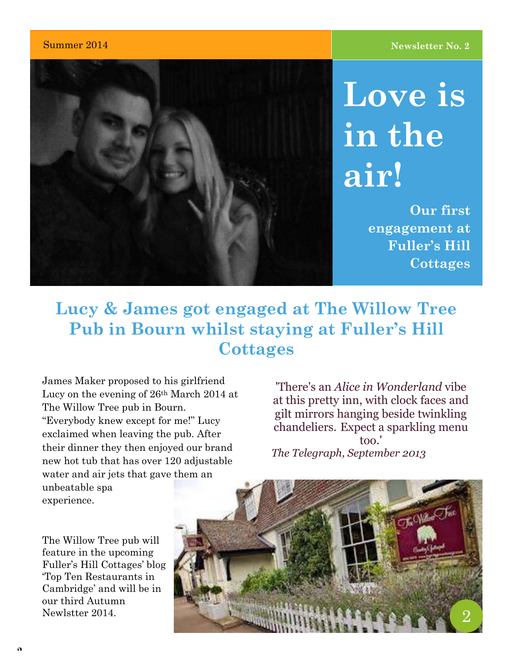

**Love is in the air!**

> **Our first engagement at Fuller's Hill Cottages**

## **Lucy & James got engaged at The Willow Tree Pub in Bourn whilst staying at Fuller's Hill Cottages**

James Maker proposed to his girlfriend Lucy on the evening of 26th March 2014 at The Willow Tree pub in Bourn. "Everybody knew except for me!" Lucy exclaimed when leaving the pub. After their dinner they then enjoyed our brand new hot tub that has over 120 adjustable water and air jets that gave them an unbeatable spa experience.

The Willow Tree pub will feature in the upcoming Fuller's Hill Cottages' blog 'Top Ten Restaurants in Cambridge' and will be in our third Autumn Newlstter 2014.

'There's an *Alice in Wonderland* vibe at this pretty inn, with clock faces and gilt mirrors hanging beside twinkling chandeliers. Expect a sparkling menu too.' *The Telegraph, September 2013*

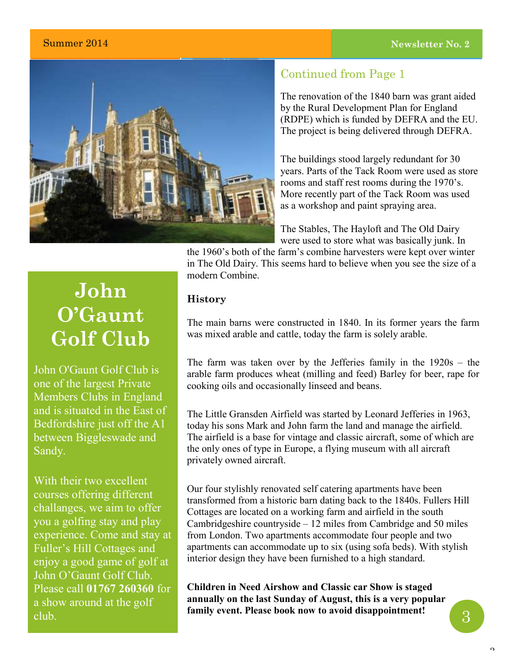### **Summer 2014 Newsletter No. 2 Newsletter No. 2**



### Continued from Page 1

The renovation of the 1840 barn was grant aided by the Rural Development Plan for England (RDPE) which is funded by DEFRA and the EU. The project is being delivered through DEFRA.

The buildings stood largely redundant for 30 years. Parts of the Tack Room were used as store rooms and staff rest rooms during the 1970's. More recently part of the Tack Room was used as a workshop and paint spraying area.

The Stables, The Hayloft and The Old Dairy were used to store what was basically junk. In

the 1960's both of the farm's combine harvesters were kept over winter in The Old Dairy. This seems hard to believe when you see the size of a modern Combine.

### **History**

The main barns were constructed in 1840. In its former years the farm was mixed arable and cattle, today the farm is solely arable.

The farm was taken over by the Jefferies family in the 1920s – the arable farm produces wheat (milling and feed) Barley for beer, rape for cooking oils and occasionally linseed and beans.

The Little Gransden Airfield was started by Leonard Jefferies in 1963, today his sons Mark and John farm the land and manage the airfield. The airfield is a base for vintage and classic aircraft, some of which are the only ones of type in Europe, a flying museum with all aircraft privately owned aircraft.

Our four stylishly renovated self catering apartments have been transformed from a historic barn dating back to the 1840s. Fullers Hill Cottages are located on a working farm and airfield in the south Cambridgeshire countryside – 12 miles from Cambridge and 50 miles from London. Two apartments accommodate four people and two apartments can accommodate up to six (using sofa beds). With stylish interior design they have been furnished to a high standard.

**[Children in Need Airshow](http://www.littlegransdenshow.co.uk/) and Classic car Show is staged annually on the last Sunday of August, this is a very popular family event. Please book now to avoid disappointment!**

## **John O'Gaunt Golf Club**

John O'Gaunt Golf Club is one of the largest Private Members Clubs in England and is situated in the East of Bedfordshire just off the A1 between Biggleswade and Sandy.

With their two excellent courses offering different challanges, we aim to offer you a golfing stay and play experience. Come and stay at Fuller's Hill Cottages and enjoy a good game of golf at John O'Gaunt Golf Club. Please call **[01767 260360](dial:01767260360)** for a show around at the golf club.

3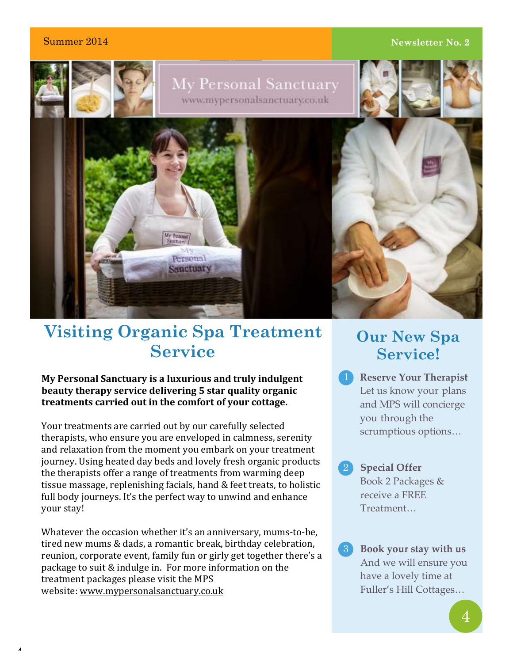**4**

### **2 2 2 2 14 Newsletter No. 2 14 Newsletter No. 2 14 Newsletter No. 2**



## **Visiting Organic Spa Treatment Service**

#### **My Personal Sanctuary is a luxurious and truly indulgent beauty therapy service delivering 5 star quality organic treatments carried out in the comfort of your cottage.**

Your treatments are carried out by our carefully selected therapists, who ensure you are enveloped in calmness, serenity and relaxation from the moment you embark on your treatment journey. Using heated day beds and lovely fresh organic products the therapists offer a range of treatments from warming deep tissue massage, replenishing facials, hand & feet treats, to holistic full body journeys. It's the perfect way to unwind and enhance your stay!

Whatever the occasion whether it's an anniversary, mums-to-be, tired new mums & dads, a romantic break, birthday celebration, reunion, corporate event, family fun or girly get together there's a package to suit & indulge in. For more information on the treatment packages please visit the MPS website: [www.mypersonalsanctuary.co.uk](http://www.mypersonalsantuary.co.uk/)

## **Our New Spa Service!**

- **[Reserve Your Therapist](http://www.mypersonalsanctuary.co.uk/home-section/reserve-your-therapist.shtml)** Let us know your plans and MPS will concierge you through the scrumptious options…
- 2 Special Offer Book 2 Packages & receive a FREE Treatment…
- **[Book your stay with us](http://www.mypersonalsanctuary.co.uk/home-section/reserve-your-therapist.shtml)** 3 And we will ensure you have a lovely time at Fuller's Hill Cottages…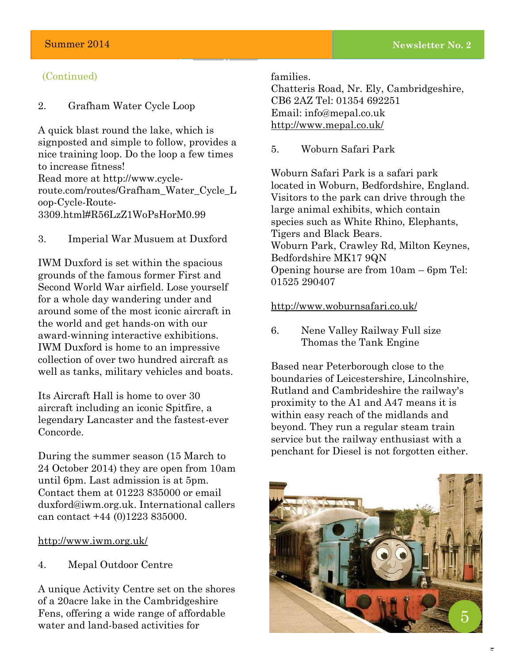#### (Continued)

#### 2. Grafham Water Cycle Loop

A quick blast round the lake, which is signposted and simple to follow, provides a nice training loop. Do the loop a few times to increase fitness! Read more at [http://www.cycle](http://www.cycle-route.com/routes/Grafham_Water_Cycle_Loop-Cycle-Route-3309.html#R56LzZ1WoPsHorM0.99)[route.com/routes/Grafham\\_Water\\_Cycle\\_L](http://www.cycle-route.com/routes/Grafham_Water_Cycle_Loop-Cycle-Route-3309.html#R56LzZ1WoPsHorM0.99) [oop-Cycle-Route-](http://www.cycle-route.com/routes/Grafham_Water_Cycle_Loop-Cycle-Route-3309.html#R56LzZ1WoPsHorM0.99)[3309.html#R56LzZ1WoPsHorM0.99](http://www.cycle-route.com/routes/Grafham_Water_Cycle_Loop-Cycle-Route-3309.html#R56LzZ1WoPsHorM0.99)

3. Imperial War Musuem at Duxford

IWM Duxford is set within the spacious grounds of the famous former First and Second World War airfield. Lose yourself for a whole day wandering under and around some of the most iconic aircraft in the world and get hands-on with our award-winning interactive exhibitions. IWM Duxford is home to an impressive collection of over two hundred aircraft as well as tanks, military vehicles and boats.

Its Aircraft Hall is home to over 30 aircraft including an iconic Spitfire, a legendary Lancaster and the fastest-ever Concorde.

During the summer season (15 March to 24 October 2014) they are open from 10am until 6pm. Last admission is at 5pm. Contact them at 01223 835000 or email [duxford@iwm.org.uk.](mailto:duxford@iwm.org.uk) International callers can contact +44 (0)1223 835000.

#### <http://www.iwm.org.uk/>

4. Mepal Outdoor Centre

A unique Activity Centre set on the shores of a 20acre lake in the Cambridgeshire Fens, offering a wide range of affordable water and land-based activities for

families.

**Lorem Ipsum Dolor Issue [#] :: [Date]**

Chatteris Road, Nr. Ely, Cambridgeshire, CB6 2AZ Tel: 01354 692251 Email: [info@mepal.co.uk](mailto:info@mepal.co.uk) <http://www.mepal.co.uk/>

5. Woburn Safari Park

Woburn Safari Park is a safari park located in Woburn, Bedfordshire, England. Visitors to the park can drive through the large animal exhibits, which contain species such as White Rhino, Elephants, Tigers and Black Bears. Woburn Park, Crawley Rd, Milton Keynes, Bedfordshire MK17 9QN Opening hourse are from 10am – 6pm [Tel:](http://www.google.co.uk/search?client=safari&rls=en&q=woburn+safari+park+phone&stick=H4sIAAAAAAAAAGOovnz8BQMDgx0HnxCnfq6-QYahZVqGln52spV-cn5OTmpySWZ-nn52Xn55TmpKemp8QWJeak6xfkZicXxBRn5eqhWYzHrveHZm9aEpThqZDktznx1SmOlYAADT9e8TWwAAAA&sa=X&ei=EBI0U7Fzo5ftBu_ggcAJ&ved=0CL8BEOgTMBY) 01525 290407

#### <http://www.woburnsafari.co.uk/>

6. Nene Valley Railway Full size Thomas the Tank Engine

Based near Peterborough close to the boundaries of Leicestershire, Lincolnshire, Rutland and Cambrideshire the railway's proximity to the A1 and A47 means it is within easy reach of the midlands and beyond. They run a regular steam train service but the railway enthusiast with a penchant for Diesel is not forgotten either.

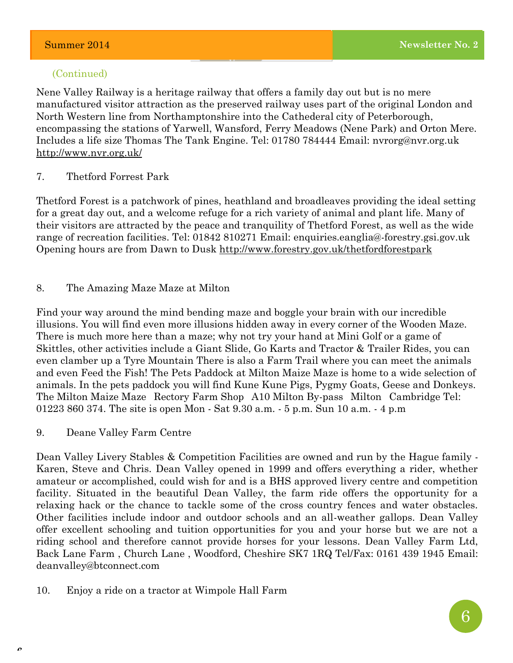#### (Continued)

**Lorem Ipsum Dolor**

Nene Valley Railway is a heritage railway that offers a family day out but is no mere manufactured visitor attraction as the preserved railway uses part of the original London and North Western line from Northamptonshire into the Cathederal city of Peterborough, encompassing the stations of Yarwell, Wansford, Ferry Meadows (Nene Park) and Orton Mere. Includes a life size Thomas The Tank Engine. Tel: 01780 784444 [Email: nvrorg@nvr.org.uk](mailto:nvrorg@nvr.org.uk) <http://www.nvr.org.uk/>

#### 7. Thetford Forrest Park

Thetford Forest is a patchwork of pines, heathland and broadleaves providing the ideal setting for a great day out, and a welcome refuge for a rich variety of animal and plant life. Many of their visitors are attracted by the peace and tranquility of Thetford Forest, as well as the wide range of recreation facilities. Tel: 01842 810271 Email: [enquiries.eanglia@-forestry.gsi.gov.uk](mailto:enquiries.eanglia@forestry.gsi.gov.uk) Opening hours are from Dawn to Dusk <http://www.forestry.gov.uk/thetfordforestpark>

#### 8. The Amazing Maze Maze at Milton

Find your way around the mind bending maze and boggle your brain with our incredible illusions. You will find even more illusions hidden away in every corner of the Wooden Maze. There is much more here than a maze; why not try your hand at Mini Golf or a game of Skittles, other activities include a Giant Slide, Go Karts and Tractor & Trailer Rides, you can even clamber up a Tyre Mountain There is also a Farm Trail where you can meet the animals and even Feed the Fish! The Pets Paddock at Milton Maize Maze is home to a wide selection of animals. In the pets paddock you will find Kune Kune Pigs, Pygmy Goats, Geese and Donkeys. The Milton Maize Maze Rectory Farm Shop A10 Milton By-pass Milton Cambridge Tel: 01223 860 374. The site is open Mon - Sat 9.30 a.m. - 5 p.m. Sun 10 a.m. - 4 p.m

9. Deane Valley Farm Centre

Dean Valley Livery Stables & Competition Facilities are owned and run by the Hague family - Karen, Steve and Chris. Dean Valley opened in 1999 and offers everything a rider, whether amateur or accomplished, could wish for and is a BHS approved livery centre and competition facility. Situated in the beautiful Dean Valley, the farm ride offers the opportunity for a relaxing hack or the chance to tackle some of the cross country fences and water obstacles. Other facilities include indoor and outdoor schools and an all-weather gallops. Dean Valley offer excellent schooling and tuition opportunities for you and your horse but we are not a riding school and therefore cannot provide horses for your lessons. Dean Valley Farm Ltd, Back Lane Farm , Church Lane , Woodford, Cheshire SK7 1RQ Tel/Fax: 0161 439 1945 Email: [deanvalley@btconnect.com](mailto:deanvalley@btconnect.com)

10. Enjoy a ride on a tractor at Wimpole Hall Farm